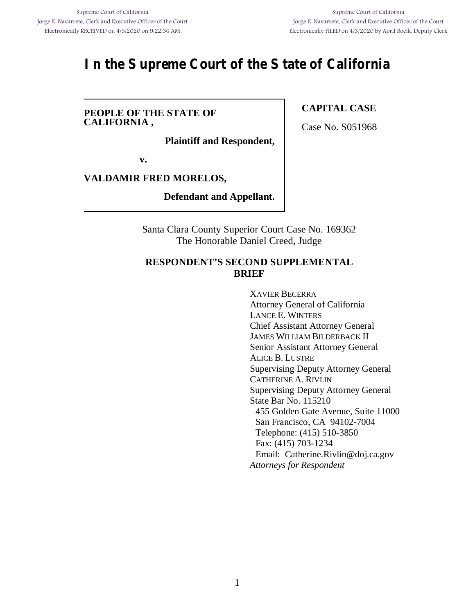# **In the Supreme Court of the State of California**

#### **PEOPLE OF THE STATE OF CALIFORNIA ,**

**Plaintiff and Respondent,**

**v.**

#### **VALDAMIR FRED MORELOS,**

**Defendant and Appellant.**

Santa Clara County Superior Court Case No. 169362 The Honorable Daniel Creed, Judge

### **RESPONDENT'S SECOND SUPPLEMENTAL BRIEF**

XAVIER BECERRA Attorney General of California LANCE E. WINTERS Chief Assistant Attorney General JAMES WILLIAM BILDERBACK II Senior Assistant Attorney General ALICE B. LUSTRE Supervising Deputy Attorney General CATHERINE A. RIVLIN Supervising Deputy Attorney General State Bar No. 115210 455 Golden Gate Avenue, Suite 11000 San Francisco, CA 94102-7004 Telephone: (415) 510-3850 Fax: (415) 703-1234 Email: Catherine.Rivlin@doj.ca.gov *Attorneys for Respondent*

### **CAPITAL CASE**

Case No. S051968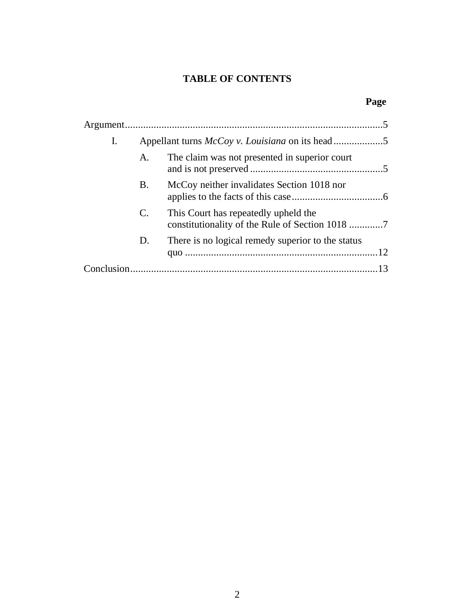## **TABLE OF CONTENTS**

## **Page**

| I. | Appellant turns <i>McCoy v. Louisiana</i> on its head5 |                                                   |  |
|----|--------------------------------------------------------|---------------------------------------------------|--|
|    | A.                                                     | The claim was not presented in superior court     |  |
|    | <b>B.</b>                                              | McCoy neither invalidates Section 1018 nor        |  |
|    | $\mathbf{C}$ .                                         | This Court has repeatedly upheld the              |  |
|    | D.                                                     | There is no logical remedy superior to the status |  |
|    |                                                        |                                                   |  |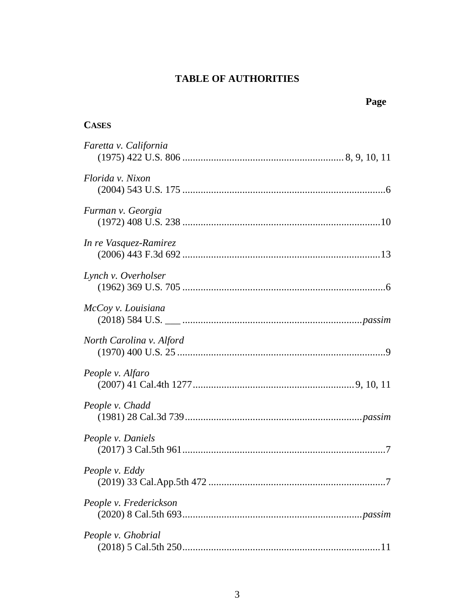## **TABLE OF AUTHORITIES**

| Page                     |
|--------------------------|
| <b>CASES</b>             |
| Faretta v. California    |
| Florida v. Nixon         |
| Furman v. Georgia        |
| In re Vasquez-Ramirez    |
| Lynch v. Overholser      |
| McCoy v. Louisiana       |
| North Carolina v. Alford |
| People v. Alfaro         |
| People v. Chadd          |
| People v. Daniels        |
| People v. Eddy           |
| People v. Frederickson   |
| People v. Ghobrial       |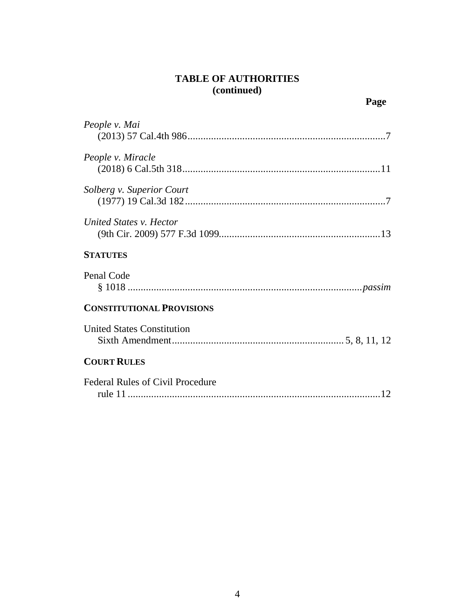## **TABLE OF AUTHORITIES (continued)**

| People v. Mai                     |
|-----------------------------------|
| People v. Miracle                 |
| Solberg v. Superior Court         |
| United States v. Hector           |
| <b>STATUTES</b>                   |
|                                   |
| Penal Code                        |
| <b>CONSTITUTIONAL PROVISIONS</b>  |
| <b>United States Constitution</b> |
| <b>COURT RULES</b>                |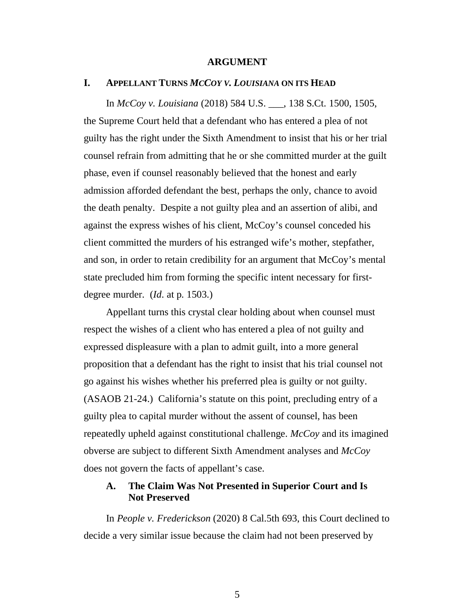#### **ARGUMENT**

#### **I. APPELLANT TURNS** *MCCOY V. LOUISIANA* **ON ITS HEAD**

In *McCoy v. Louisiana* (2018) 584 U.S. \_\_\_, 138 S.Ct. 1500, 1505, the Supreme Court held that a defendant who has entered a plea of not guilty has the right under the Sixth Amendment to insist that his or her trial counsel refrain from admitting that he or she committed murder at the guilt phase, even if counsel reasonably believed that the honest and early admission afforded defendant the best, perhaps the only, chance to avoid the death penalty. Despite a not guilty plea and an assertion of alibi, and against the express wishes of his client, McCoy's counsel conceded his client committed the murders of his estranged wife's mother, stepfather, and son, in order to retain credibility for an argument that McCoy's mental state precluded him from forming the specific intent necessary for firstdegree murder. (*Id*. at p. 1503.)

Appellant turns this crystal clear holding about when counsel must respect the wishes of a client who has entered a plea of not guilty and expressed displeasure with a plan to admit guilt, into a more general proposition that a defendant has the right to insist that his trial counsel not go against his wishes whether his preferred plea is guilty or not guilty. (ASAOB 21-24.) California's statute on this point, precluding entry of a guilty plea to capital murder without the assent of counsel, has been repeatedly upheld against constitutional challenge. *McCoy* and its imagined obverse are subject to different Sixth Amendment analyses and *McCoy* does not govern the facts of appellant's case.

#### **A. The Claim Was Not Presented in Superior Court and Is Not Preserved**

In *People v. Frederickson* (2020) 8 Cal.5th 693, this Court declined to decide a very similar issue because the claim had not been preserved by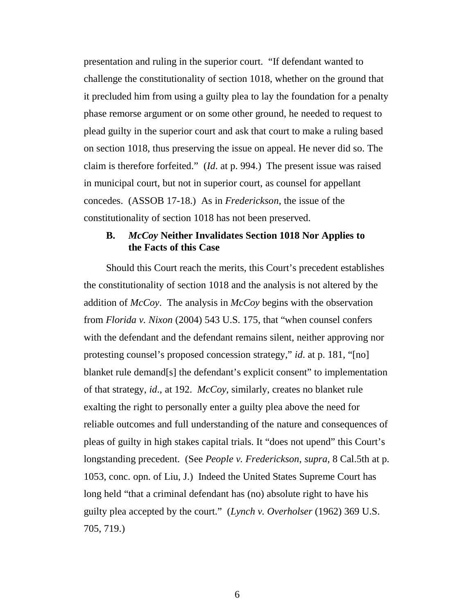presentation and ruling in the superior court. "If defendant wanted to challenge the constitutionality of section 1018, whether on the ground that it precluded him from using a guilty plea to lay the foundation for a penalty phase remorse argument or on some other ground, he needed to request to plead guilty in the superior court and ask that court to make a ruling based on section 1018, thus preserving the issue on appeal. He never did so. The claim is therefore forfeited." (*Id*. at p. 994.) The present issue was raised in municipal court, but not in superior court, as counsel for appellant concedes. (ASSOB 17-18.) As in *Frederickson*, the issue of the constitutionality of section 1018 has not been preserved.

#### **B.** *McCoy* **Neither Invalidates Section 1018 Nor Applies to the Facts of this Case**

Should this Court reach the merits, this Court's precedent establishes the constitutionality of section 1018 and the analysis is not altered by the addition of *McCoy*. The analysis in *McCoy* begins with the observation from *Florida v. Nixon* (2004) 543 U.S. 175, that "when counsel confers with the defendant and the defendant remains silent, neither approving nor protesting counsel's proposed concession strategy," *id*. at p. 181, "[no] blanket rule demand[s] the defendant's explicit consent" to implementation of that strategy, *id*., at 192. *McCoy*, similarly, creates no blanket rule exalting the right to personally enter a guilty plea above the need for reliable outcomes and full understanding of the nature and consequences of pleas of guilty in high stakes capital trials. It "does not upend" this Court's longstanding precedent. (See *People v. Frederickson*, *supra*, 8 Cal.5th at p. 1053, conc. opn. of Liu, J.) Indeed the United States Supreme Court has long held "that a criminal defendant has (no) absolute right to have his guilty plea accepted by the court." (*Lynch v. Overholser* (1962) 369 U.S. 705, 719.)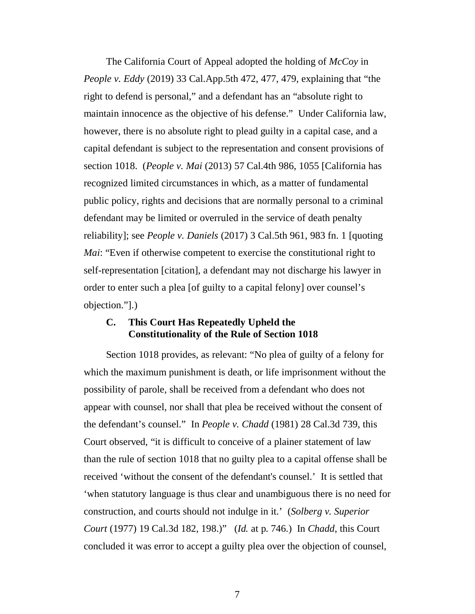The California Court of Appeal adopted the holding of *McCoy* in *People v. Eddy* (2019) 33 Cal.App.5th 472, 477, 479, explaining that "the right to defend is personal," and a defendant has an "absolute right to maintain innocence as the objective of his defense." Under California law, however, there is no absolute right to plead guilty in a capital case, and a capital defendant is subject to the representation and consent provisions of section 1018. (*People v. Mai* (2013) 57 Cal.4th 986, 1055 [California has recognized limited circumstances in which, as a matter of fundamental public policy, rights and decisions that are normally personal to a criminal defendant may be limited or overruled in the service of death penalty reliability]; see *People v. Daniels* (2017) 3 Cal.5th 961, 983 fn. 1 [quoting *Mai*: "Even if otherwise competent to exercise the constitutional right to self-representation [citation], a defendant may not discharge his lawyer in order to enter such a plea [of guilty to a capital felony] over counsel's objection."].)

#### **C. This Court Has Repeatedly Upheld the Constitutionality of the Rule of Section 1018**

Section 1018 provides, as relevant: "No plea of guilty of a felony for which the maximum punishment is death, or life imprisonment without the possibility of parole, shall be received from a defendant who does not appear with counsel, nor shall that plea be received without the consent of the defendant's counsel." In *People v. Chadd* (1981) 28 Cal.3d 739, this Court observed, "it is difficult to conceive of a plainer statement of law than the rule of section 1018 that no guilty plea to a capital offense shall be received 'without the consent of the defendant's counsel.' It is settled that 'when statutory language is thus clear and unambiguous there is no need for construction, and courts should not indulge in it.' (*Solberg v. Superior Court* (1977) 19 Cal.3d 182, 198.)" (*Id.* at p. 746.) In *Chadd*, this Court concluded it was error to accept a guilty plea over the objection of counsel,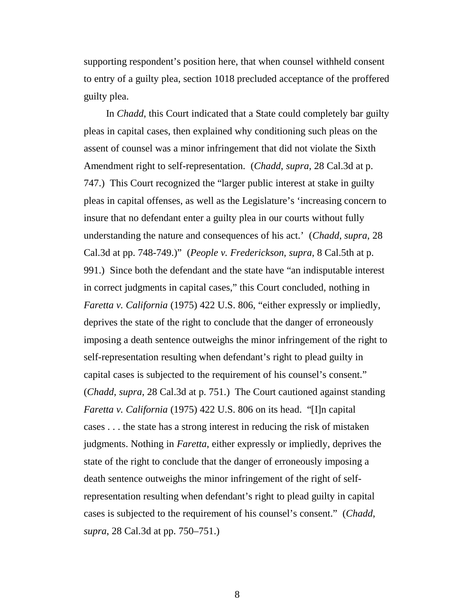supporting respondent's position here, that when counsel withheld consent to entry of a guilty plea, section 1018 precluded acceptance of the proffered guilty plea.

In *Chadd*, this Court indicated that a State could completely bar guilty pleas in capital cases, then explained why conditioning such pleas on the assent of counsel was a minor infringement that did not violate the Sixth Amendment right to self-representation. (*Chadd*, *supra*, 28 Cal.3d at p. 747.) This Court recognized the "larger public interest at stake in guilty pleas in capital offenses, as well as the Legislature's 'increasing concern to insure that no defendant enter a guilty plea in our courts without fully understanding the nature and consequences of his act.' (*Chadd*, *supra*, 28 Cal.3d at pp. 748-749.)" (*People v. Frederickson*, *supra*, 8 Cal.5th at p. 991.) Since both the defendant and the state have "an indisputable interest in correct judgments in capital cases," this Court concluded, nothing in *Faretta v. California* (1975) 422 U.S. 806, "either expressly or impliedly, deprives the state of the right to conclude that the danger of erroneously imposing a death sentence outweighs the minor infringement of the right to self-representation resulting when defendant's right to plead guilty in capital cases is subjected to the requirement of his counsel's consent." (*Chadd*, *supra*, 28 Cal.3d at p. 751.) The Court cautioned against standing *Faretta v. California* (1975) 422 U.S. 806 on its head. "[I]n capital cases . . . the state has a strong interest in reducing the risk of mistaken judgments. Nothing in *Faretta*, either expressly or impliedly, deprives the state of the right to conclude that the danger of erroneously imposing a death sentence outweighs the minor infringement of the right of selfrepresentation resulting when defendant's right to plead guilty in capital cases is subjected to the requirement of his counsel's consent." (*Chadd*, *supra*, 28 Cal.3d at pp. 750–751.)

8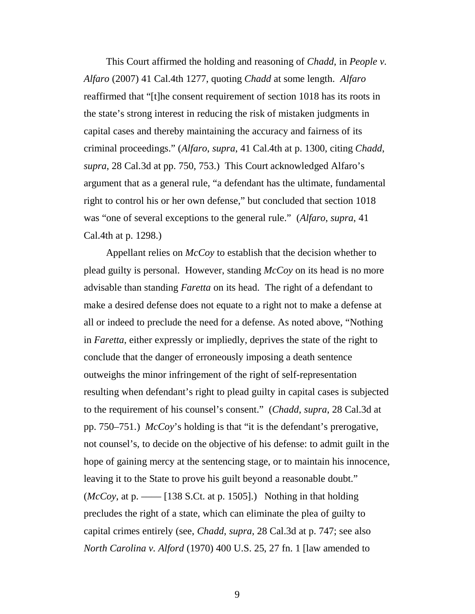This Court affirmed the holding and reasoning of *Chadd*, in *People v. Alfaro* (2007) 41 Cal.4th 1277, quoting *Chadd* at some length. *Alfaro* reaffirmed that "[t]he consent requirement of section 1018 has its roots in the state's strong interest in reducing the risk of mistaken judgments in capital cases and thereby maintaining the accuracy and fairness of its criminal proceedings." (*Alfaro*, *supra*, 41 Cal.4th at p. 1300, citing *Chadd*, *supra*, 28 Cal.3d at pp. 750, 753.) This Court acknowledged Alfaro's argument that as a general rule, "a defendant has the ultimate, fundamental right to control his or her own defense," but concluded that section 1018 was "one of several exceptions to the general rule." (*Alfaro*, *supra*, 41 Cal.4th at p. 1298.)

Appellant relies on *McCoy* to establish that the decision whether to plead guilty is personal. However, standing *McCoy* on its head is no more advisable than standing *Faretta* on its head. The right of a defendant to make a desired defense does not equate to a right not to make a defense at all or indeed to preclude the need for a defense. As noted above, "Nothing in *Faretta*, either expressly or impliedly, deprives the state of the right to conclude that the danger of erroneously imposing a death sentence outweighs the minor infringement of the right of self-representation resulting when defendant's right to plead guilty in capital cases is subjected to the requirement of his counsel's consent." (*Chadd*, *supra*, 28 Cal.3d at pp. 750–751.) *McCoy*'s holding is that "it is the defendant's prerogative, not counsel's, to decide on the objective of his defense: to admit guilt in the hope of gaining mercy at the sentencing stage, or to maintain his innocence, leaving it to the State to prove his guilt beyond a reasonable doubt."  $(McCov, at p. \_\_$  [138 S.Ct. at p. 1505].) Nothing in that holding precludes the right of a state, which can eliminate the plea of guilty to capital crimes entirely (see, *Chadd*, *supra*, 28 Cal.3d at p. 747; see also *North Carolina v. Alford* (1970) 400 U.S. 25, 27 fn. 1 [law amended to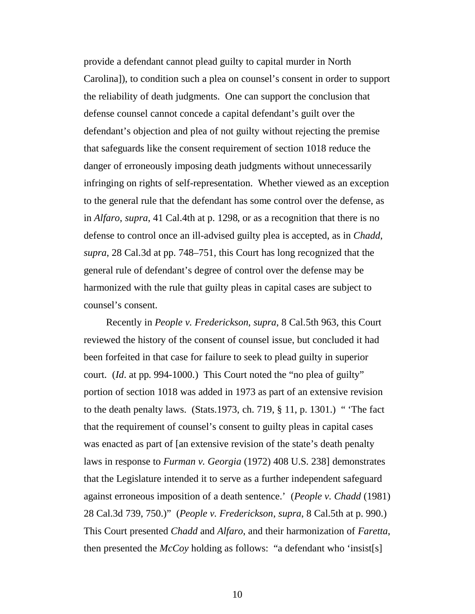provide a defendant cannot plead guilty to capital murder in North Carolina]), to condition such a plea on counsel's consent in order to support the reliability of death judgments. One can support the conclusion that defense counsel cannot concede a capital defendant's guilt over the defendant's objection and plea of not guilty without rejecting the premise that safeguards like the consent requirement of section 1018 reduce the danger of erroneously imposing death judgments without unnecessarily infringing on rights of self-representation. Whether viewed as an exception to the general rule that the defendant has some control over the defense, as in *Alfaro*, *supra*, 41 Cal.4th at p. 1298, or as a recognition that there is no defense to control once an ill-advised guilty plea is accepted, as in *Chadd*, *supra*, 28 Cal.3d at pp. 748–751, this Court has long recognized that the general rule of defendant's degree of control over the defense may be harmonized with the rule that guilty pleas in capital cases are subject to counsel's consent.

Recently in *People v. Frederickson*, *supra*, 8 Cal.5th 963, this Court reviewed the history of the consent of counsel issue, but concluded it had been forfeited in that case for failure to seek to plead guilty in superior court. (*Id*. at pp. 994-1000.) This Court noted the "no plea of guilty" portion of section 1018 was added in 1973 as part of an extensive revision to the death penalty laws. (Stats.1973, ch. 719, § 11, p. 1301.) " 'The fact that the requirement of counsel's consent to guilty pleas in capital cases was enacted as part of [an extensive revision of the state's death penalty laws in response to *Furman v. Georgia* (1972) 408 U.S. 238] demonstrates that the Legislature intended it to serve as a further independent safeguard against erroneous imposition of a death sentence.' (*People v. Chadd* (1981) 28 Cal.3d 739, 750.)" (*People v. Frederickson*, *supra*, 8 Cal.5th at p. 990.) This Court presented *Chadd* and *Alfaro*, and their harmonization of *Faretta*, then presented the *McCoy* holding as follows: "a defendant who 'insist[s]

10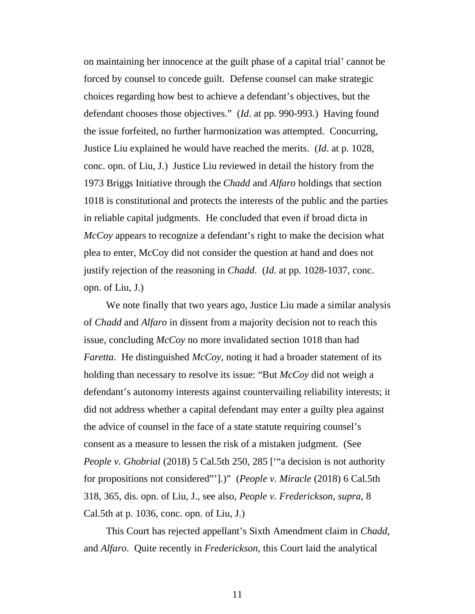on maintaining her innocence at the guilt phase of a capital trial' cannot be forced by counsel to concede guilt. Defense counsel can make strategic choices regarding how best to achieve a defendant's objectives, but the defendant chooses those objectives." (*Id*. at pp. 990-993.) Having found the issue forfeited, no further harmonization was attempted. Concurring, Justice Liu explained he would have reached the merits. (*Id*. at p. 1028, conc. opn. of Liu, J.) Justice Liu reviewed in detail the history from the 1973 Briggs Initiative through the *Chadd* and *Alfaro* holdings that section 1018 is constitutional and protects the interests of the public and the parties in reliable capital judgments. He concluded that even if broad dicta in *McCoy* appears to recognize a defendant's right to make the decision what plea to enter, McCoy did not consider the question at hand and does not justify rejection of the reasoning in *Chadd*. (*Id*. at pp. 1028-1037, conc. opn. of Liu, J.)

We note finally that two years ago, Justice Liu made a similar analysis of *Chadd* and *Alfaro* in dissent from a majority decision not to reach this issue, concluding *McCoy* no more invalidated section 1018 than had *Faretta*. He distinguished *McCoy*, noting it had a broader statement of its holding than necessary to resolve its issue: "But *McCoy* did not weigh a defendant's autonomy interests against countervailing reliability interests; it did not address whether a capital defendant may enter a guilty plea against the advice of counsel in the face of a state statute requiring counsel's consent as a measure to lessen the risk of a mistaken judgment. (See *People v. Ghobrial* (2018) 5 Cal.5th 250, 285 ['"a decision is not authority for propositions not considered"'].)" (*People v. Miracle* (2018) 6 Cal.5th 318, 365, dis. opn. of Liu, J., see also, *People v. Frederickson*, *supra*, 8 Cal.5th at p. 1036, conc. opn. of Liu, J.)

This Court has rejected appellant's Sixth Amendment claim in *Chadd*, and *Alfaro*. Quite recently in *Frederickson*, this Court laid the analytical

11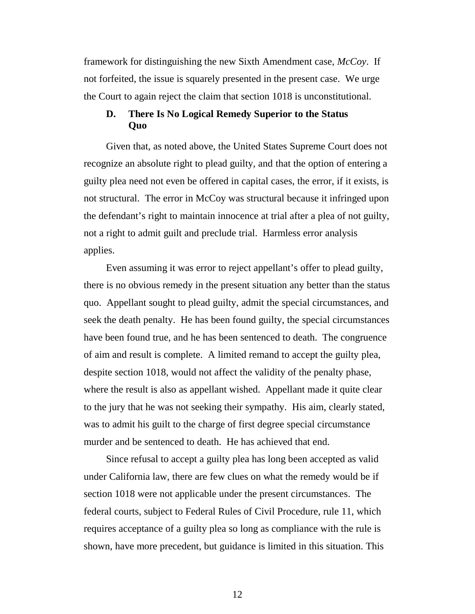framework for distinguishing the new Sixth Amendment case, *McCoy*. If not forfeited, the issue is squarely presented in the present case. We urge the Court to again reject the claim that section 1018 is unconstitutional.

### **D. There Is No Logical Remedy Superior to the Status Quo**

Given that, as noted above, the United States Supreme Court does not recognize an absolute right to plead guilty, and that the option of entering a guilty plea need not even be offered in capital cases, the error, if it exists, is not structural. The error in McCoy was structural because it infringed upon the defendant's right to maintain innocence at trial after a plea of not guilty, not a right to admit guilt and preclude trial. Harmless error analysis applies.

Even assuming it was error to reject appellant's offer to plead guilty, there is no obvious remedy in the present situation any better than the status quo. Appellant sought to plead guilty, admit the special circumstances, and seek the death penalty. He has been found guilty, the special circumstances have been found true, and he has been sentenced to death. The congruence of aim and result is complete. A limited remand to accept the guilty plea, despite section 1018, would not affect the validity of the penalty phase, where the result is also as appellant wished. Appellant made it quite clear to the jury that he was not seeking their sympathy. His aim, clearly stated, was to admit his guilt to the charge of first degree special circumstance murder and be sentenced to death. He has achieved that end.

Since refusal to accept a guilty plea has long been accepted as valid under California law, there are few clues on what the remedy would be if section 1018 were not applicable under the present circumstances. The federal courts, subject to Federal Rules of Civil Procedure, rule 11, which requires acceptance of a guilty plea so long as compliance with the rule is shown, have more precedent, but guidance is limited in this situation. This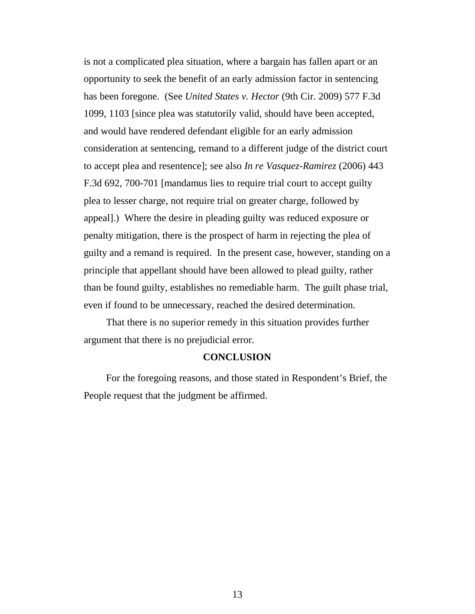is not a complicated plea situation, where a bargain has fallen apart or an opportunity to seek the benefit of an early admission factor in sentencing has been foregone. (See *United States v. Hector* (9th Cir. 2009) 577 F.3d 1099, 1103 [since plea was statutorily valid, should have been accepted, and would have rendered defendant eligible for an early admission consideration at sentencing, remand to a different judge of the district court to accept plea and resentence]; see also *In re Vasquez-Ramirez* (2006) 443 F.3d 692, 700-701 [mandamus lies to require trial court to accept guilty plea to lesser charge, not require trial on greater charge, followed by appeal].) Where the desire in pleading guilty was reduced exposure or penalty mitigation, there is the prospect of harm in rejecting the plea of guilty and a remand is required. In the present case, however, standing on a principle that appellant should have been allowed to plead guilty, rather than be found guilty, establishes no remediable harm. The guilt phase trial, even if found to be unnecessary, reached the desired determination.

That there is no superior remedy in this situation provides further argument that there is no prejudicial error.

#### **CONCLUSION**

For the foregoing reasons, and those stated in Respondent's Brief, the People request that the judgment be affirmed.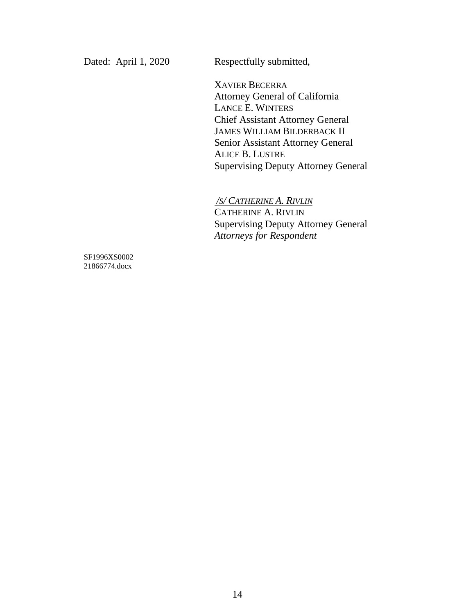Dated: April 1, 2020 Respectfully submitted,

XAVIER BECERRA Attorney General of California LANCE E. WINTERS Chief Assistant Attorney General JAMES WILLIAM BILDERBACK II Senior Assistant Attorney General ALICE B. LUSTRE Supervising Deputy Attorney General

*/S/ CATHERINE A. RIVLIN*

CATHERINE A. RIVLIN Supervising Deputy Attorney General *Attorneys for Respondent*

SF1996XS0002 21866774.docx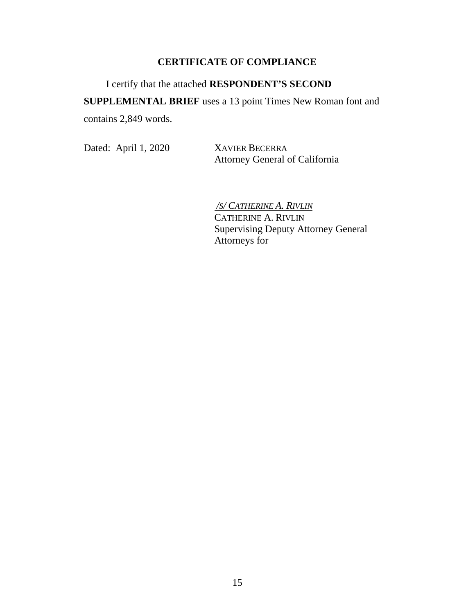### **CERTIFICATE OF COMPLIANCE**

I certify that the attached **RESPONDENT'S SECOND SUPPLEMENTAL BRIEF** uses a 13 point Times New Roman font and contains 2,849 words.

Dated: April 1, 2020 XAVIER BECERRA

Attorney General of California

*/S/ CATHERINE A. RIVLIN* CATHERINE A. RIVLIN Supervising Deputy Attorney General Attorneys for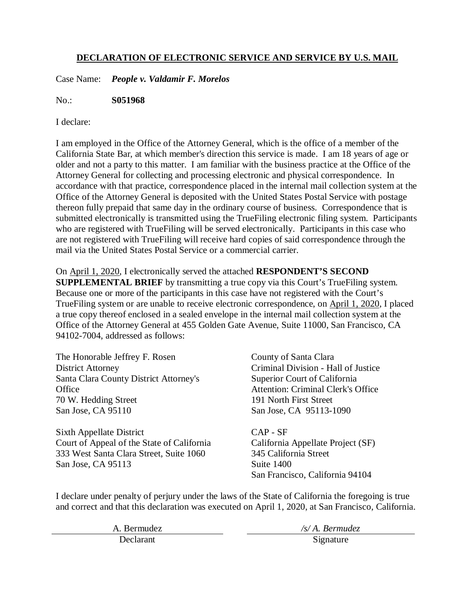### **DECLARATION OF ELECTRONIC SERVICE AND SERVICE BY U.S. MAIL**

Case Name: *People v. Valdamir F. Morelos*

No.: **S051968**

I declare:

I am employed in the Office of the Attorney General, which is the office of a member of the California State Bar, at which member's direction this service is made. I am 18 years of age or older and not a party to this matter. I am familiar with the business practice at the Office of the Attorney General for collecting and processing electronic and physical correspondence. In accordance with that practice, correspondence placed in the internal mail collection system at the Office of the Attorney General is deposited with the United States Postal Service with postage thereon fully prepaid that same day in the ordinary course of business. Correspondence that is submitted electronically is transmitted using the TrueFiling electronic filing system. Participants who are registered with TrueFiling will be served electronically. Participants in this case who are not registered with TrueFiling will receive hard copies of said correspondence through the mail via the United States Postal Service or a commercial carrier.

On April 1, 2020, I electronically served the attached **RESPONDENT'S SECOND SUPPLEMENTAL BRIEF** by transmitting a true copy via this Court's TrueFiling system. Because one or more of the participants in this case have not registered with the Court's TrueFiling system or are unable to receive electronic correspondence, on April 1, 2020, I placed a true copy thereof enclosed in a sealed envelope in the internal mail collection system at the Office of the Attorney General at 455 Golden Gate Avenue, Suite 11000, San Francisco, CA 94102-7004, addressed as follows:

The Honorable Jeffrey F. Rosen District Attorney Santa Clara County District Attorney's **Office** 70 W. Hedding Street San Jose, CA 95110

Sixth Appellate District Court of Appeal of the State of California 333 West Santa Clara Street, Suite 1060 San Jose, CA 95113

County of Santa Clara Criminal Division - Hall of Justice Superior Court of California Attention: Criminal Clerk's Office 191 North First Street San Jose, CA 95113-1090

CAP - SF California Appellate Project (SF) 345 California Street Suite 1400 San Francisco, California 94104

I declare under penalty of perjury under the laws of the State of California the foregoing is true and correct and that this declaration was executed on April 1, 2020, at San Francisco, California.

| A. Bermudez | $/s/A.$ Bermudez |
|-------------|------------------|
| Declarant   | Signature        |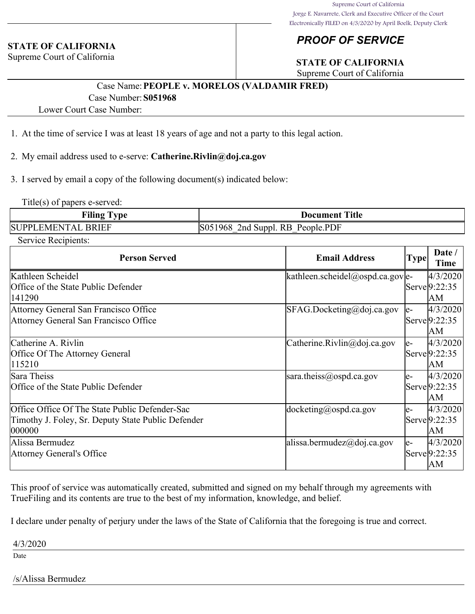#### **STATE OF CALIFORNIA**

Supreme Court of California

## *PROOF OF SERVICE*

## **STATE OF CALIFORNIA**

Supreme Court of California

## Case Name:**PEOPLE v. MORELOS (VALDAMIR FRED)** Case Number:**S051968**

Lower Court Case Number:

- 1. At the time of service I was at least 18 years of age and not a party to this legal action.
- 2. My email address used to e-serve: **Catherine.Rivlin@doj.ca.gov**
- 3. I served by email a copy of the following document(s) indicated below:

Title(s) of papers e-served:

| <b>Viling</b><br>vne                     | Title<br>Document                                       |
|------------------------------------------|---------------------------------------------------------|
| SI IPPI<br>$R$ RIET<br>EMEN<br>$\Lambda$ | PDF.<br>'S0:<br>'968<br>- R.R<br>'nd<br>People<br>Suppl |

Service Recipients:

| <b>Person Served</b>                               | <b>Email Address</b>             | Type! | Date /<br>Time |
|----------------------------------------------------|----------------------------------|-------|----------------|
| Kathleen Scheidel                                  | kathleen.scheidel@ospd.ca.gov e- |       | 4/3/2020       |
| Office of the State Public Defender                |                                  |       | Serve 9:22:35  |
| 141290                                             |                                  |       | lАM            |
| Attorney General San Francisco Office              | SFAG.Docketing@doj.ca.gov        | le-   | 4/3/2020       |
| Attorney General San Francisco Office              |                                  |       | Serve 9:22:35  |
|                                                    |                                  |       | lАM            |
| Catherine A. Rivlin                                | Catherine.Rivlin@doj.ca.gov      | le-   | 4/3/2020       |
| Office Of The Attorney General                     |                                  |       | Serve 9:22:35  |
| 115210                                             |                                  |       | lΑM            |
| Sara Theiss                                        | sara.theiss@ospd.ca.gov          | le-   | 4/3/2020       |
| Office of the State Public Defender                |                                  |       | Serve 9:22:35  |
|                                                    |                                  |       | lΑM            |
| Office Office Of The State Public Defender-Sac     | $d$ ocketing@ospd.ca.gov         | le-   | 4/3/2020       |
| Timothy J. Foley, Sr. Deputy State Public Defender |                                  |       | Servel9:22:35  |
| 000000                                             |                                  |       | lАM            |
| Alissa Bermudez                                    | alissa.bermudez@doj.ca.gov       | le-   | 4/3/2020       |
| Attorney General's Office                          |                                  |       | Serve 9:22:35  |
|                                                    |                                  |       | lΑM            |

This proof of service was automatically created, submitted and signed on my behalf through my agreements with TrueFiling and its contents are true to the best of my information, knowledge, and belief.

I declare under penalty of perjury under the laws of the State of California that the foregoing is true and correct.

#### 4/3/2020

Date

#### /s/Alissa Bermudez